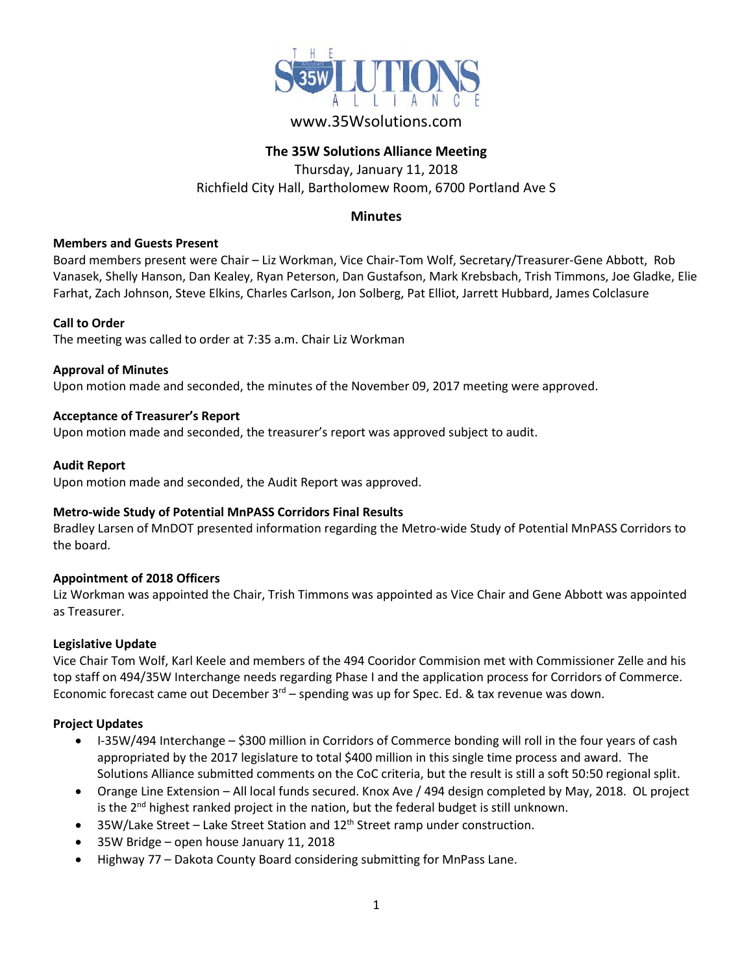

## www.35Wsolutions.com

## **The 35W Solutions Alliance Meeting**

Thursday, January 11, 2018 Richfield City Hall, Bartholomew Room, 6700 Portland Ave S

## **Minutes**

#### **Members and Guests Present**

Board members present were Chair – Liz Workman, Vice Chair-Tom Wolf, Secretary/Treasurer-Gene Abbott, Rob Vanasek, Shelly Hanson, Dan Kealey, Ryan Peterson, Dan Gustafson, Mark Krebsbach, Trish Timmons, Joe Gladke, Elie Farhat, Zach Johnson, Steve Elkins, Charles Carlson, Jon Solberg, Pat Elliot, Jarrett Hubbard, James Colclasure

#### **Call to Order**

The meeting was called to order at 7:35 a.m. Chair Liz Workman

#### **Approval of Minutes**

Upon motion made and seconded, the minutes of the November 09, 2017 meeting were approved.

#### **Acceptance of Treasurer's Report**

Upon motion made and seconded, the treasurer's report was approved subject to audit.

#### **Audit Report**

Upon motion made and seconded, the Audit Report was approved.

## **Metro-wide Study of Potential MnPASS Corridors Final Results**

Bradley Larsen of MnDOT presented information regarding the Metro-wide Study of Potential MnPASS Corridors to the board.

## **Appointment of 2018 Officers**

Liz Workman was appointed the Chair, Trish Timmons was appointed as Vice Chair and Gene Abbott was appointed as Treasurer.

#### **Legislative Update**

Vice Chair Tom Wolf, Karl Keele and members of the 494 Cooridor Commision met with Commissioner Zelle and his top staff on 494/35W Interchange needs regarding Phase I and the application process for Corridors of Commerce. Economic forecast came out December  $3^{rd}$  – spending was up for Spec. Ed. & tax revenue was down.

## **Project Updates**

- I-35W/494 Interchange \$300 million in Corridors of Commerce bonding will roll in the four years of cash appropriated by the 2017 legislature to total \$400 million in this single time process and award. The Solutions Alliance submitted comments on the CoC criteria, but the result is still a soft 50:50 regional split.
- Orange Line Extension All local funds secured. Knox Ave / 494 design completed by May, 2018. OL project is the  $2^{nd}$  highest ranked project in the nation, but the federal budget is still unknown.
- 35W/Lake Street Lake Street Station and 12<sup>th</sup> Street ramp under construction.
- 35W Bridge open house January 11, 2018
- Highway 77 Dakota County Board considering submitting for MnPass Lane.